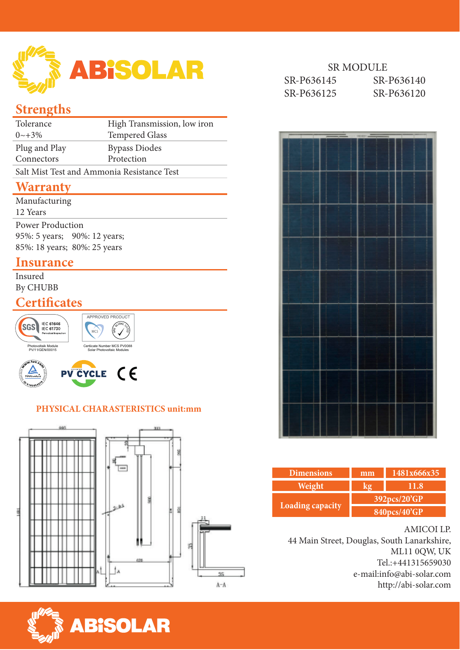

## **Strengths**

| Tolerance                                  | High Transmission, low iron |  |  |
|--------------------------------------------|-----------------------------|--|--|
| $0 \sim +3\%$                              | <b>Tempered Glass</b>       |  |  |
| Plug and Play                              | <b>Bypass Diodes</b>        |  |  |
| Connectors                                 | Protection                  |  |  |
| Salt Mist Test and Ammonia Resistance Test |                             |  |  |
|                                            |                             |  |  |

### **Warranty**

| Manufacturing                |  |
|------------------------------|--|
| 12 Years                     |  |
| <b>Power Production</b>      |  |
| 95%: 5 years; 90%: 12 years; |  |
| 85%: 18 years; 80%: 25 years |  |
|                              |  |

## **Insurance**

Insured By CHUBB

## **Certificates**







#### **PHYSICAL CHARASTERISTICS unit:mm**







| <b>Dimensions</b>       | 1481x666x35<br>mm |      |  |  |
|-------------------------|-------------------|------|--|--|
| Weight                  |                   | 11.8 |  |  |
| <b>Loading capacity</b> | 392pcs/20'GP      |      |  |  |
|                         | 840pcs/40'GP      |      |  |  |

#### AMICOI LP.

44 Main Street, Douglas, South Lanarkshire, ML11 0QW, UK Tel.:+441315659030 e-mail:info@abi-solar.com http://abi-solar.com